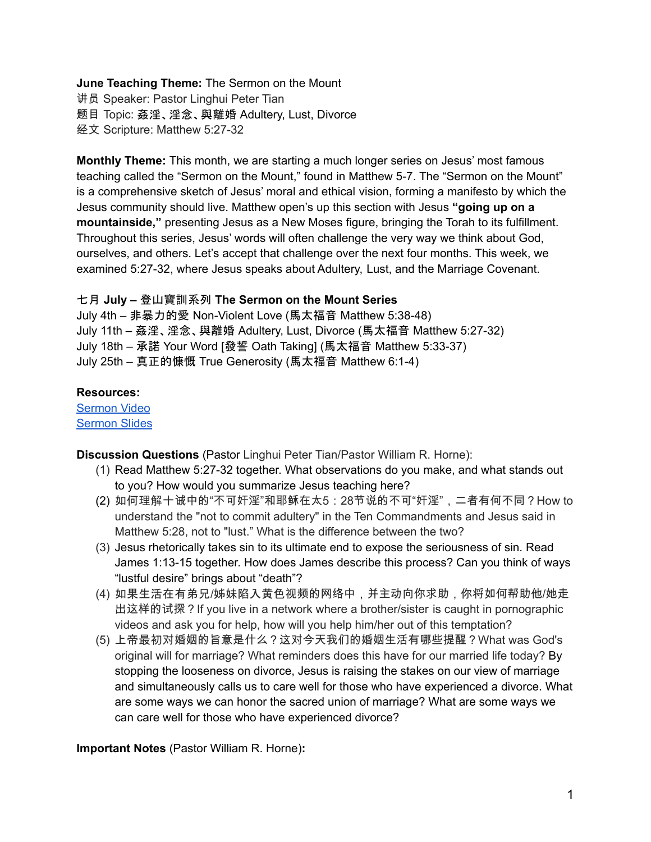### **June Teaching Theme:** The Sermon on the Mount

讲员 Speaker: Pastor Linghui Peter Tian 题目 Topic: 姦淫、淫念、與離婚 Adultery, Lust, Divorce 经文 Scripture: Matthew 5:27-32

**Monthly Theme:** This month, we are starting a much longer series on Jesus' most famous teaching called the "Sermon on the Mount," found in Matthew 5-7. The "Sermon on the Mount" is a comprehensive sketch of Jesus' moral and ethical vision, forming a manifesto by which the Jesus community should live. Matthew open's up this section with Jesus **"going up on a mountainside,"** presenting Jesus as a New Moses figure, bringing the Torah to its fulfillment. Throughout this series, Jesus' words will often challenge the very way we think about God, ourselves, and others. Let's accept that challenge over the next four months. This week, we examined 5:27-32, where Jesus speaks about Adultery, Lust, and the Marriage Covenant.

#### 七月 **July –** 登山寶訓系列 **The Sermon on the Mount Series**

July 4th – 非暴力的愛 Non-Violent Love (馬太福音 Matthew 5:38-48) July 11th – 姦淫、淫念、與離婚 Adultery, Lust, Divorce (馬太福音 Matthew 5:27-32) July 18th – 承諾 Your Word [發誓 Oath Taking] (馬太福音 Matthew 5:33-37) July 25th – 真正的慷慨 True Generosity (馬太福音 Matthew 6:1-4)

### **Resources:**

[Sermon](https://www.youtube.com/watch?v=oNnHDqPcBAA) Video [Sermon](http://www.lcccky.org/CellGroup/Meetings/%E7%99%BB%E5%B1%B1%E5%AE%9D%E8%AE%AD%EF%BC%9A%E8%AE%BA%E5%A5%B8%E6%B7%AB%E3%80%81%E7%A6%BB%E5%A9%9A%E5%92%8C%E5%86%8D%E5%A9%9A.pdf) Slides

**Discussion Questions** (Pastor Linghui Peter Tian/Pastor William R. Horne):

- (1) Read Matthew 5:27-32 together. What observations do you make, and what stands out to you? How would you summarize Jesus teaching here?
- (2) 如何理解十诫中的"不可奸淫"和耶稣在太5:28节说的不可"奸淫",二者有何不同?How to understand the "not to commit adultery" in the Ten Commandments and Jesus said in Matthew 5:28, not to "lust." What is the difference between the two?
- (3) Jesus rhetorically takes sin to its ultimate end to expose the seriousness of sin. Read James 1:13-15 together. How does James describe this process? Can you think of ways "lustful desire" brings about "death"?
- (4) 如果生活在有弟兄/姊妹陷入黄色视频的网络中,并主动向你求助,你将如何帮助他/她走 出这样的试探?If you live in a network where a brother/sister is caught in pornographic videos and ask you for help, how will you help him/her out of this temptation?
- (5) 上帝最初对婚姻的旨意是什么?这对今天我们的婚姻生活有哪些提醒?What was God's original will for marriage? What reminders does this have for our married life today? By stopping the looseness on divorce, Jesus is raising the stakes on our view of marriage and simultaneously calls us to care well for those who have experienced a divorce. What are some ways we can honor the sacred union of marriage? What are some ways we can care well for those who have experienced divorce?

**Important Notes** (Pastor William R. Horne)**:**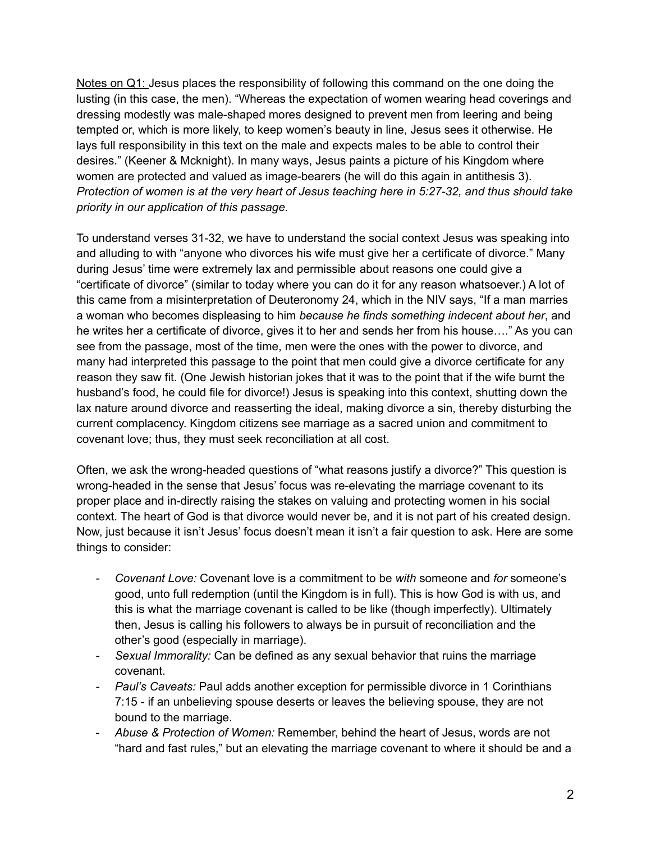Notes on Q1: Jesus places the responsibility of following this command on the one doing the lusting (in this case, the men). "Whereas the expectation of women wearing head coverings and dressing modestly was male-shaped mores designed to prevent men from leering and being tempted or, which is more likely, to keep women's beauty in line, Jesus sees it otherwise. He lays full responsibility in this text on the male and expects males to be able to control their desires." (Keener & Mcknight). In many ways, Jesus paints a picture of his Kingdom where women are protected and valued as image-bearers (he will do this again in antithesis 3). *Protection of women is at the very heart of Jesus teaching here in 5:27-32, and thus should take priority in our application of this passage.*

To understand verses 31-32, we have to understand the social context Jesus was speaking into and alluding to with "anyone who divorces his wife must give her a certificate of divorce." Many during Jesus' time were extremely lax and permissible about reasons one could give a "certificate of divorce" (similar to today where you can do it for any reason whatsoever.) A lot of this came from a misinterpretation of Deuteronomy 24, which in the NIV says, "If a man marries a woman who becomes displeasing to him *because he finds something indecent about her*, and he writes her a certificate of divorce, gives it to her and sends her from his house…." As you can see from the passage, most of the time, men were the ones with the power to divorce, and many had interpreted this passage to the point that men could give a divorce certificate for any reason they saw fit. (One Jewish historian jokes that it was to the point that if the wife burnt the husband's food, he could file for divorce!) Jesus is speaking into this context, shutting down the lax nature around divorce and reasserting the ideal, making divorce a sin, thereby disturbing the current complacency. Kingdom citizens see marriage as a sacred union and commitment to covenant love; thus, they must seek reconciliation at all cost.

Often, we ask the wrong-headed questions of "what reasons justify a divorce?" This question is wrong-headed in the sense that Jesus' focus was re-elevating the marriage covenant to its proper place and in-directly raising the stakes on valuing and protecting women in his social context. The heart of God is that divorce would never be, and it is not part of his created design. Now, just because it isn't Jesus' focus doesn't mean it isn't a fair question to ask. Here are some things to consider:

- *- Covenant Love:* Covenant love is a commitment to be *with* someone and *for* someone's good, unto full redemption (until the Kingdom is in full). This is how God is with us, and this is what the marriage covenant is called to be like (though imperfectly). Ultimately then, Jesus is calling his followers to always be in pursuit of reconciliation and the other's good (especially in marriage).
- *- Sexual Immorality:* Can be defined as any sexual behavior that ruins the marriage covenant.
- *- Paul's Caveats:* Paul adds another exception for permissible divorce in 1 Corinthians 7:15 - if an unbelieving spouse deserts or leaves the believing spouse, they are not bound to the marriage.
- *Abuse & Protection of Women:* Remember, behind the heart of Jesus, words are not "hard and fast rules," but an elevating the marriage covenant to where it should be and a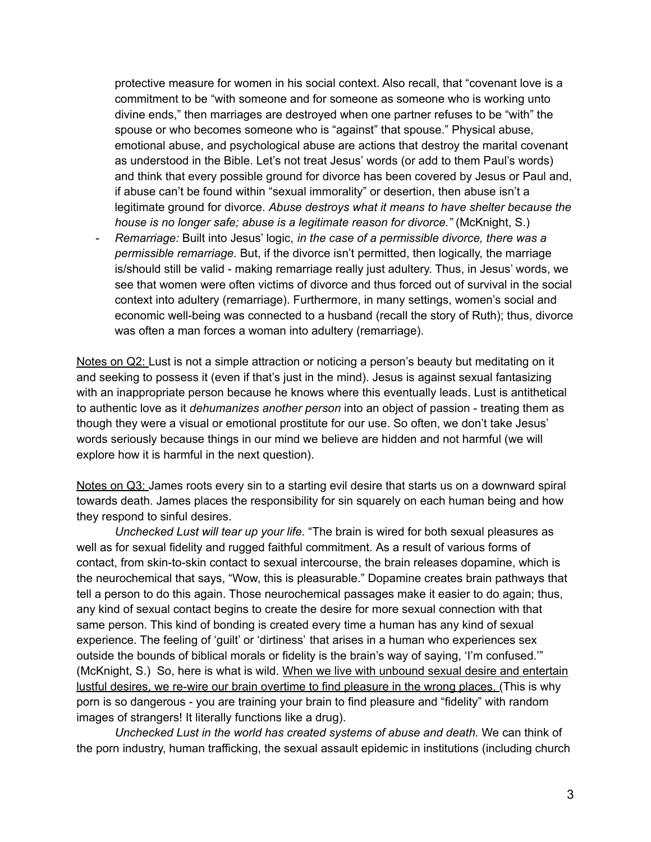protective measure for women in his social context. Also recall, that "covenant love is a commitment to be "with someone and for someone as someone who is working unto divine ends," then marriages are destroyed when one partner refuses to be "with" the spouse or who becomes someone who is "against" that spouse." Physical abuse, emotional abuse, and psychological abuse are actions that destroy the marital covenant as understood in the Bible. Let's not treat Jesus' words (or add to them Paul's words) and think that every possible ground for divorce has been covered by Jesus or Paul and, if abuse can't be found within "sexual immorality" or desertion, then abuse isn't a legitimate ground for divorce. *Abuse destroys what it means to have shelter because the house is no longer safe; abuse is a legitimate reason for divorce."* (McKnight, S.)

- *Remarriage:* Built into Jesus' logic, *in the case of a permissible divorce, there was a permissible remarriage.* But, if the divorce isn't permitted, then logically, the marriage is/should still be valid - making remarriage really just adultery. Thus, in Jesus' words, we see that women were often victims of divorce and thus forced out of survival in the social context into adultery (remarriage). Furthermore, in many settings, women's social and economic well-being was connected to a husband (recall the story of Ruth); thus, divorce was often a man forces a woman into adultery (remarriage).

Notes on Q2: Lust is not a simple attraction or noticing a person's beauty but meditating on it and seeking to possess it (even if that's just in the mind). Jesus is against sexual fantasizing with an inappropriate person because he knows where this eventually leads. Lust is antithetical to authentic love as it *dehumanizes another person* into an object of passion - treating them as though they were a visual or emotional prostitute for our use. So often, we don't take Jesus' words seriously because things in our mind we believe are hidden and not harmful (we will explore how it is harmful in the next question).

Notes on Q3: James roots every sin to a starting evil desire that starts us on a downward spiral towards death. James places the responsibility for sin squarely on each human being and how they respond to sinful desires.

*Unchecked Lust will tear up your life.* "The brain is wired for both sexual pleasures as well as for sexual fidelity and rugged faithful commitment. As a result of various forms of contact, from skin-to-skin contact to sexual intercourse, the brain releases dopamine, which is the neurochemical that says, "Wow, this is pleasurable." Dopamine creates brain pathways that tell a person to do this again. Those neurochemical passages make it easier to do again; thus, any kind of sexual contact begins to create the desire for more sexual connection with that same person. This kind of bonding is created every time a human has any kind of sexual experience. The feeling of 'guilt' or 'dirtiness' that arises in a human who experiences sex outside the bounds of biblical morals or fidelity is the brain's way of saying, 'I'm confused.'" (McKnight, S.) So, here is what is wild. When we live with unbound sexual desire and entertain lustful desires, we re-wire our brain overtime to find pleasure in the wrong places. (This is why porn is so dangerous - you are training your brain to find pleasure and "fidelity" with random images of strangers! It literally functions like a drug).

*Unchecked Lust in the world has created systems of abuse and death.* We can think of the porn industry, human trafficking, the sexual assault epidemic in institutions (including church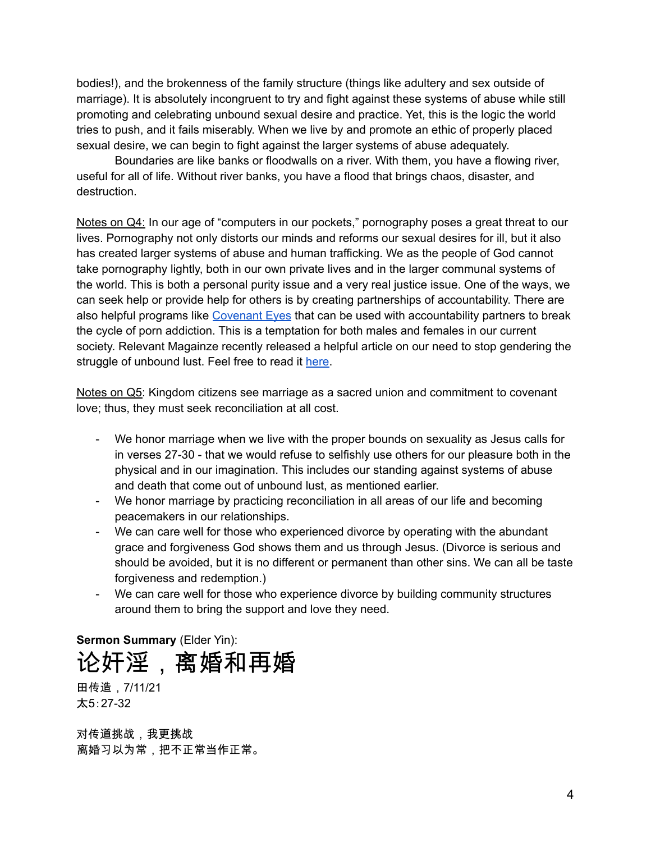bodies!), and the brokenness of the family structure (things like adultery and sex outside of marriage). It is absolutely incongruent to try and fight against these systems of abuse while still promoting and celebrating unbound sexual desire and practice. Yet, this is the logic the world tries to push, and it fails miserably. When we live by and promote an ethic of properly placed sexual desire, we can begin to fight against the larger systems of abuse adequately.

Boundaries are like banks or floodwalls on a river. With them, you have a flowing river, useful for all of life. Without river banks, you have a flood that brings chaos, disaster, and destruction.

Notes on Q4: In our age of "computers in our pockets," pornography poses a great threat to our lives. Pornography not only distorts our minds and reforms our sexual desires for ill, but it also has created larger systems of abuse and human trafficking. We as the people of God cannot take pornography lightly, both in our own private lives and in the larger communal systems of the world. This is both a personal purity issue and a very real justice issue. One of the ways, we can seek help or provide help for others is by creating partnerships of accountability. There are also helpful programs like [Covenant](https://www.covenanteyes.com/) Eyes that can be used with accountability partners to break the cycle of porn addiction. This is a temptation for both males and females in our current society. Relevant Magainze recently released a helpful article on our need to stop gendering the struggle of unbound lust. Feel free to read it [here.](https://www.relevantmagazine.com/magazine/the-church-needs-a-new-sex-talk/)

Notes on Q5: Kingdom citizens see marriage as a sacred union and commitment to covenant love; thus, they must seek reconciliation at all cost.

- We honor marriage when we live with the proper bounds on sexuality as Jesus calls for in verses 27-30 - that we would refuse to selfishly use others for our pleasure both in the physical and in our imagination. This includes our standing against systems of abuse and death that come out of unbound lust, as mentioned earlier.
- We honor marriage by practicing reconciliation in all areas of our life and becoming peacemakers in our relationships.
- We can care well for those who experienced divorce by operating with the abundant grace and forgiveness God shows them and us through Jesus. (Divorce is serious and should be avoided, but it is no different or permanent than other sins. We can all be taste forgiveness and redemption.)
- We can care well for those who experience divorce by building community structures around them to bring the support and love they need.

### **Sermon Summary** (Elder Yin): 论奸淫,离婚和再婚

田传造,7/11/21 太5:27-32

对传道挑战,我更挑战 离婚习以为常,把不正常当作正常。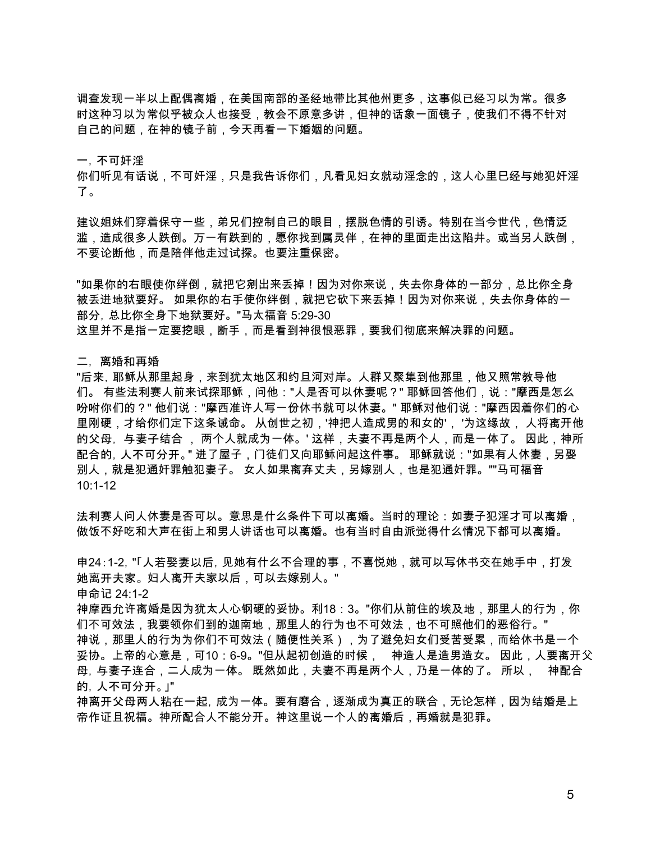调查发现一半以上配偶离婚,在美国南部的圣经地带比其他州更多,这事似已经习以为常。很多 时这种习以为常似乎被众人也接受,教会不原意多讲,但神的话象一面镜子,使我们不得不针对 自己的问题,在神的镜子前,今天再看一下婚姻的问题。

一,不可奸淫

你们听见有话说,不可奸淫,只是我告诉你们,凡看见妇女就动淫念的,这人心里巳经与她犯奸淫 了。

建议姐妹们穿着保守一些,弟兄们控制自己的眼目,摆脱色情的引诱。特别在当今世代,色情泛 滥,造成很多人跌倒。万一有跌到的,愿你找到属灵伴,在神的里面走出这陷井。或当另人跌倒, 不要论断他,而是陪伴他走过试探。也要注重保密。

"如果你的右眼使你绊倒,就把它剜出来丢掉!因为对你来说,失去你身体的一部分,总比你全身 被丢进地狱要好。 如果你的右手使你绊倒,就把它砍下来丢掉!因为对你来说,失去你身体的一 部分,总比你全身下地狱要好。"马太福音 5:29-30 这里并不是指一定要挖眼,断手,而是看到神很恨恶罪,要我们彻底来解决罪的问题。

二, 离婚和再婚

"后来, 耶稣从那里起身,来到犹太地区和约旦河对岸。人群又聚集到他那里,他又照常教导他 们。 有些法利赛人前来试探耶稣,问他:"人是否可以休妻呢?" 耶稣回答他们,说:"摩西是怎么 吩咐你们的?" 他们说:"摩西准许人写一份休书就可以休妻。" 耶稣对他们说:"摩西因着你们的心 里刚硬,才给你们定下这条诫命。 从创世之初,'神把人造成男的和女的', '为这缘故, 人将离开他 的父母, 与妻子结合 , 两个人就成为一体。' 这样,夫妻不再是两个人,而是一体了。 因此,神所 配合的, 人不可分开。" 进了屋子,门徒们又向耶稣问起这件事。 耶稣就说:"如果有人休妻,另娶 别人,就是犯通奸罪触犯妻子。 女人如果离弃丈夫,另嫁别人,也是犯通奸罪。""马可福音 10:1-12

法利赛人问人休妻是否可以。意思是什么条件下可以离婚。当时的理论:如妻子犯淫才可以离婚, 做饭不好吃和大声在街上和男人讲话也可以离婚。也有当时自由派觉得什么情况下都可以离婚。

申24:1-2,"「人若娶妻以后,见她有什么不合理的事,不喜悦她,就可以写休书交在她手中,打发 她离开夫家。妇人离开夫家以后,可以去嫁别人。"

申命记 24:1-2

神摩西允许离婚是因为犹太人心钢硬的妥协。利18:3。"你们从前住的埃及地,那里人的行为,你 们不可效法,我要领你们到的迦南地,那里人的行为也不可效法,也不可照他们的恶俗行。" 神说,那里人的行为为你们不可效法(随便性关系),为了避免妇女们受苦受累,而给休书是一个 妥协。上帝的心意是,可10:6-9。"但从起初创造的时候, 神造人是造男造女。 因此,人要离开父 母,与妻子连合,二人成为一体。 既然如此,夫妻不再是两个人,乃是一体的了。 所以, 神配合 的,人不可分开。」"

神离开父母两人粘在一起,成为一体。要有磨合,逐渐成为真正的联合,无论怎样,因为结婚是上 帝作证且祝福。神所配合人不能分开。神这里说一个人的离婚后,再婚就是犯罪。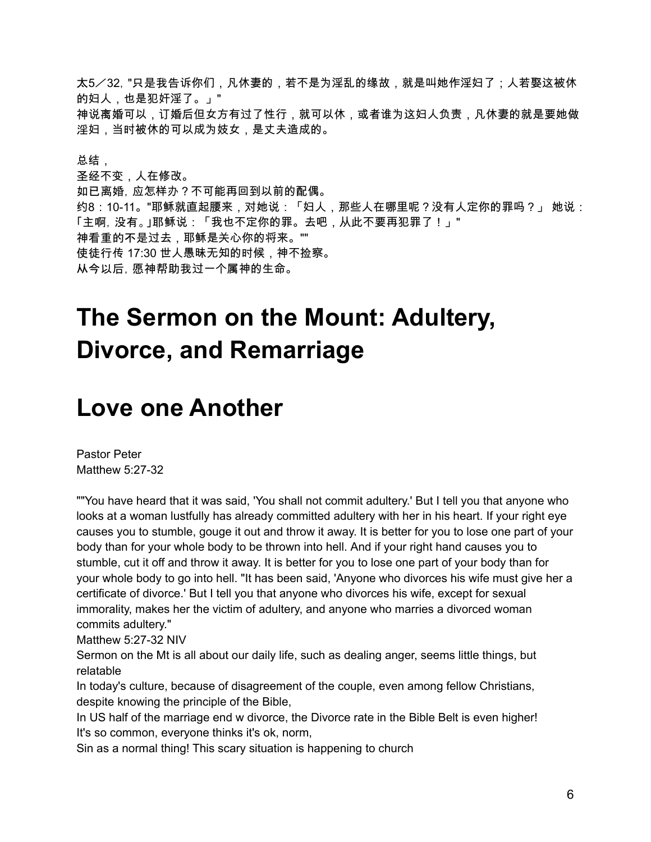太5/32,"只是我告诉你们,凡休妻的,若不是为淫乱的缘故,就是叫她作淫妇了;人若娶这被休 的妇人,也是犯奸淫了。」" 神说离婚可以,订婚后但女方有过了性行,就可以休,或者谁为这妇人负责,凡休妻的就是要她做 淫妇,当时被休的可以成为妓女,是丈夫造成的。

### 总结,

圣经不变,人在修改。 如已离婚,应怎样办?不可能再回到以前的配偶。 约8:10-11。"耶稣就直起腰来,对她说:「妇人,那些人在哪里呢?没有人定你的罪吗?」 她说: 「主啊,没有。」耶稣说:「我也不定你的罪。去吧,从此不要再犯罪了!」" 神看重的不是过去,耶稣是关心你的将来。"" 使徒行传 17:30 世人愚昧无知的时候,神不捡察。 从今以后,愿神帮助我过一个属神的生命。

# **The Sermon on the Mount: Adultery, Divorce, and Remarriage**

## **Love one Another**

Pastor Peter Matthew 5:27-32

""You have heard that it was said, 'You shall not commit adultery.' But I tell you that anyone who looks at a woman lustfully has already committed adultery with her in his heart. If your right eye causes you to stumble, gouge it out and throw it away. It is better for you to lose one part of your body than for your whole body to be thrown into hell. And if your right hand causes you to stumble, cut it off and throw it away. It is better for you to lose one part of your body than for your whole body to go into hell. "It has been said, 'Anyone who divorces his wife must give her a certificate of divorce.' But I tell you that anyone who divorces his wife, except for sexual immorality, makes her the victim of adultery, and anyone who marries a divorced woman commits adultery."

Matthew 5:27-32 NIV

Sermon on the Mt is all about our daily life, such as dealing anger, seems little things, but relatable

In today's culture, because of disagreement of the couple, even among fellow Christians, despite knowing the principle of the Bible,

In US half of the marriage end w divorce, the Divorce rate in the Bible Belt is even higher! It's so common, everyone thinks it's ok, norm,

Sin as a normal thing! This scary situation is happening to church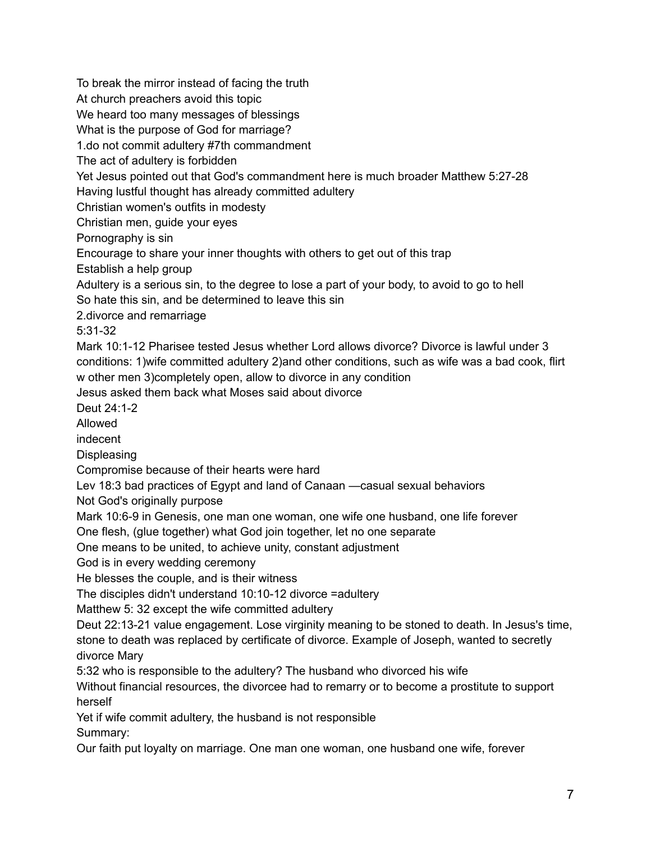To break the mirror instead of facing the truth At church preachers avoid this topic We heard too many messages of blessings What is the purpose of God for marriage? 1.do not commit adultery #7th commandment The act of adultery is forbidden Yet Jesus pointed out that God's commandment here is much broader Matthew 5:27-28 Having lustful thought has already committed adultery Christian women's outfits in modesty Christian men, guide your eyes Pornography is sin Encourage to share your inner thoughts with others to get out of this trap Establish a help group Adultery is a serious sin, to the degree to lose a part of your body, to avoid to go to hell So hate this sin, and be determined to leave this sin 2.divorce and remarriage 5:31-32 Mark 10:1-12 Pharisee tested Jesus whether Lord allows divorce? Divorce is lawful under 3 conditions: 1)wife committed adultery 2)and other conditions, such as wife was a bad cook, flirt w other men 3)completely open, allow to divorce in any condition Jesus asked them back what Moses said about divorce Deut 24:1-2 Allowed indecent **Displeasing** Compromise because of their hearts were hard Lev 18:3 bad practices of Egypt and land of Canaan —casual sexual behaviors Not God's originally purpose Mark 10:6-9 in Genesis, one man one woman, one wife one husband, one life forever One flesh, (glue together) what God join together, let no one separate One means to be united, to achieve unity, constant adjustment God is in every wedding ceremony He blesses the couple, and is their witness The disciples didn't understand 10:10-12 divorce =adultery Matthew 5: 32 except the wife committed adultery Deut 22:13-21 value engagement. Lose virginity meaning to be stoned to death. In Jesus's time, stone to death was replaced by certificate of divorce. Example of Joseph, wanted to secretly divorce Mary 5:32 who is responsible to the adultery? The husband who divorced his wife Without financial resources, the divorcee had to remarry or to become a prostitute to support herself Yet if wife commit adultery, the husband is not responsible

Summary:

Our faith put loyalty on marriage. One man one woman, one husband one wife, forever